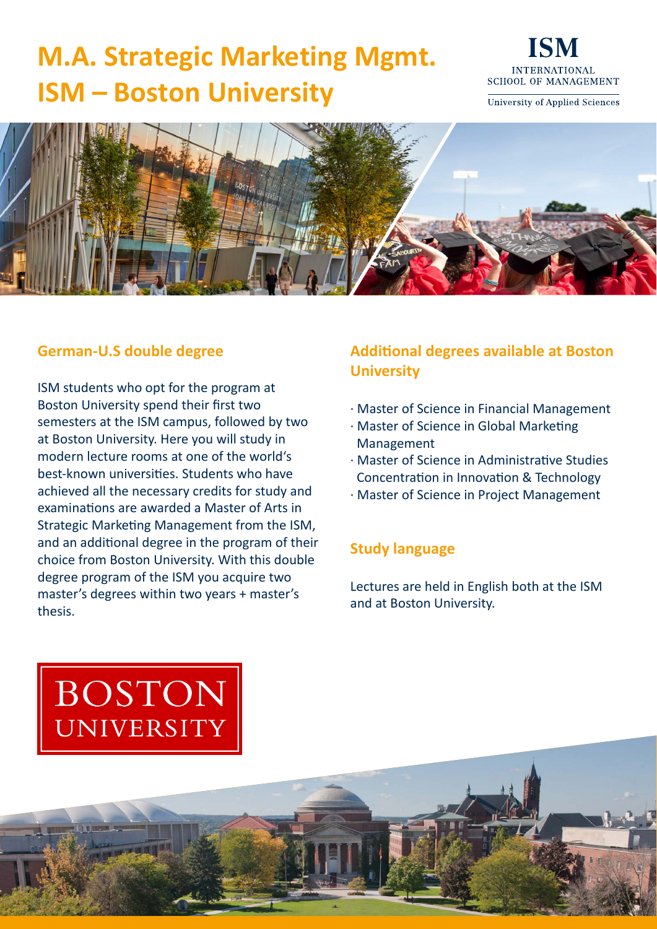## **M.A. Strategic Marketing Mgmt. ISM – Boston University**



University of Applied Sciences



#### **German-U.S double degree**

ISM students who opt for the program at Boston University spend their first two semesters at the ISM campus, followed by two at Boston University. Here you will study in modern lecture rooms at one of the world's best-known universities. Students who have achieved all the necessary credits for study and examinations are awarded a Master of Arts in Strategic Marketing Management from the ISM, and an additional degree in the program of their choice from Boston University. With this double degree program of the ISM you acquire two master's degrees within two years + master's thesis.

### **Additional degrees available at Boston University**

- · Master of Science in Financial Management
- · Master of Science in Global Marketing Management
- · Master of Science in Administrative Studies Concentration in Innovation & Technology
- · Master of Science in Project Management

#### **Study language**

Lectures are held in English both at the ISM and at Boston University.

1972

# **BOSTON** UNIVERSITY